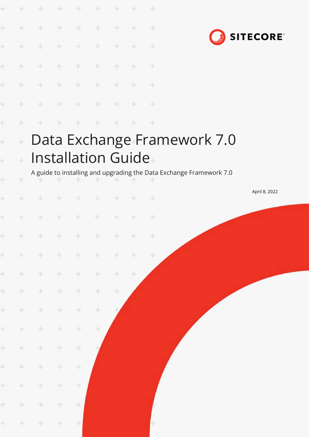| Ł     |       | ÷.     | ÷      | ÷     | ÷                         | ÷      |       | ÷     |                                                                     |
|-------|-------|--------|--------|-------|---------------------------|--------|-------|-------|---------------------------------------------------------------------|
| ł     | ÷     | ÷      | ÷      | ÷     | ÷                         | ÷      | ÷     | ÷     |                                                                     |
| Ł     | ÷.    | ÷      | ÷      | ÷     | ÷                         | ÷      |       | ÷     | <b>SITECORE</b>                                                     |
| Ł     | ÷.    | $+$    | ÷      | $+$   | ÷                         | ÷      | ÷     | ÷     |                                                                     |
| Ł     | $+$   | $+$    | $+$    | $+$   | $\pm$                     | $\pm$  | ÷     | $+$   |                                                                     |
| Ł     | ÷     | $+$    | $+$    | $+$   | $+$                       | ÷      | ÷     | $+$   |                                                                     |
| Ł     | ÷     | ÷      | $+$    | ÷     | ÷                         | ÷      | ÷     | ÷     |                                                                     |
| ÷     | $\pm$ |        |        |       |                           |        |       |       | Data Exchange Framework 7.0                                         |
| Ł     | ÷     |        |        |       | <b>Installation Guide</b> |        |       |       |                                                                     |
| ÷     | ÷     |        |        | ÷     |                           |        |       |       | A guide to installing and upgrading the Data Exchange Framework 7.0 |
| ł     | ÷     | ÷      | ÷      | ÷     | $\pm$                     | $+$    | ÷     | ÷     | April 8, 2022                                                       |
| Ł     | ÷     | ÷      | ÷      | ÷     | ÷                         | ÷      | ÷     | ÷     |                                                                     |
| $\pm$ | $+$   | $\pm$  | $+$    | $+$   | $+$                       | $+$    | $+$   | $+$   |                                                                     |
| $\pm$ | $+$   | 士      | $+$    | $\pm$ | $\pm$                     | $\div$ | $+$   | $\pm$ |                                                                     |
| $\pm$ | $+$   | $+$    | $\div$ | ÷     | $\pm$                     | $\pm$  | $\pm$ |       |                                                                     |
| $\pm$ | $+$   | $\pm$  | $+ \,$ | ÷     | $\div$                    | ÷      |       |       |                                                                     |
| $\pm$ | $+$   | $\div$ | $\pm$  | ÷     | ÷                         |        |       |       |                                                                     |
| $\pm$ | $\pm$ | $\pm$  | ÷      | ÷     | ÷                         |        |       |       |                                                                     |
| $\pm$ | $+$   | $\pm$  | ÷      | ÷     |                           |        |       |       |                                                                     |
| $\pm$ | $+$   | $\div$ | ÷      | ÷     |                           |        |       |       |                                                                     |
| $\pm$ | $+$   | $\pm$  | ÷      | ÷     |                           |        |       |       |                                                                     |
| $\pm$ | $+$   | $\pm$  | ÷      | ÷     |                           |        |       |       |                                                                     |
| $\pm$ | $+$   | $\div$ | $\pm$  | ÷     |                           |        |       |       |                                                                     |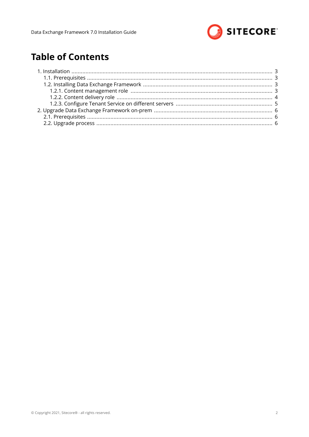

# **Table of Contents**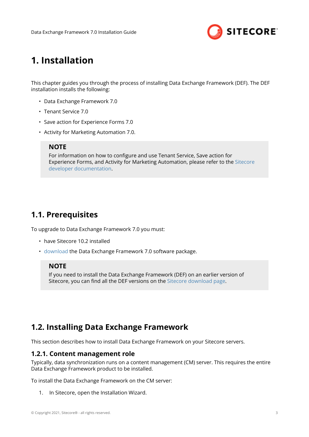

# <span id="page-2-0"></span>**1. Installation**

This chapter guides you through the process of installing Data Exchange Framework (DEF). The DEF installation installs the following:

- Data Exchange Framework 7.0
- Tenant Service 7.0
- Save action for Experience Forms 7.0
- Activity for Marketing Automation 7.0.

## **NOTE**

For information on how to configure and use Tenant Service, Save action for Experience Forms, and Activity for Marketing Automation, please refer to the [Sitecore](https://doc.sitecore.com/developers) [developer documentation.](https://doc.sitecore.com/developers)

## **1.1. Prerequisites**

To upgrade to Data Exchange Framework 7.0 you must:

- have Sitecore 10.2 installed
- [download](https://dev.sitecore.net/Downloads/Data_Exchange_Framework/7x/Data_Exchange_Framework_700.aspx) the Data Exchange Framework 7.0 software package.

## **NOTE**

If you need to install the Data Exchange Framework (DEF) on an earlier version of Sitecore, you can find all the DEF versions on the [Sitecore download page](https://dev.sitecore.net/Downloads/Data_Exchange_Framework.aspx).

# **1.2. Installing Data Exchange Framework**

This section describes how to install Data Exchange Framework on your Sitecore servers.

## **1.2.1. Content management role**

Typically, data synchronization runs on a content management (CM) server. This requires the entire Data Exchange Framework product to be installed.

To install the Data Exchange Framework on the CM server:

1. In Sitecore, open the Installation Wizard.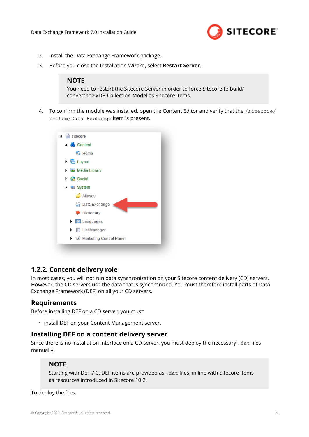

- <span id="page-3-0"></span>2. Install the Data Exchange Framework package.
- 3. Before you close the Installation Wizard, select **Restart Server**.

#### **NOTE**

You need to restart the Sitecore Server in order to force Sitecore to build/ convert the xDB Collection Model as Sitecore items.

4. To confirm the module was installed, open the Content Editor and verify that the /sitecore/ system/Data Exchange item is present.



## **1.2.2. Content delivery role**

In most cases, you will not run data synchronization on your Sitecore content delivery (CD) servers. However, the CD servers use the data that is synchronized. You must therefore install parts of Data Exchange Framework (DEF) on all your CD servers.

## **Requirements**

Before installing DEF on a CD server, you must:

• install DEF on your Content Management server.

#### **Installing DEF on a content delivery server**

Since there is no installation interface on a CD server, you must deploy the necessary .dat files manually.

#### **NOTE**

Starting with DEF 7.0, DEF items are provided as .dat files, in line with Sitecore items as resources introduced in Sitecore 10.2.

To deploy the files: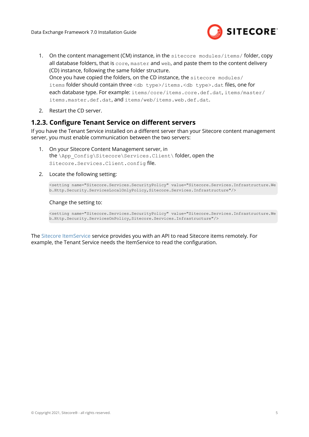

- <span id="page-4-0"></span>1. On the content management (CM) instance, in the sitecore modules/items/folder, copy all database folders, that is core, master and web, and paste them to the content delivery (CD) instance, following the same folder structure. Once you have copied the folders, on the CD instance, the sitecore modules/ items folder should contain three <db type>/items.<db type>.dat files, one for each database type. For example: items/core/items.core.def.dat, items/master/ items.master.def.dat, and items/web/items.web.def.dat.
- 2. Restart the CD server.

## **1.2.3. Configure Tenant Service on different servers**

If you have the Tenant Service installed on a different server than your Sitecore content management server, you must enable communication between the two servers:

- 1. On your Sitecore Content Management server, in the \App\_Config\Sitecore\Services.Client\ folder, open the Sitecore.Services.Client.config file.
- 2. Locate the following setting:

```
<setting name="Sitecore.Services.SecurityPolicy" value="Sitecore.Services.Infrastructure.We
b.Http.Security.ServicesLocalOnlyPolicy,Sitecore.Services.Infrastructure"/>
```
#### Change the setting to:

<setting name="Sitecore.Services.SecurityPolicy" value="Sitecore.Services.Infrastructure.We b.Http.Security.ServicesOnPolicy,Sitecore.Services.Infrastructure"/>

The [Sitecore ItemService](https://doc.sitecore.com/en/developers/102/sitecore-experience-manager/the-itemservice.html) service provides you with an API to read Sitecore items remotely. For example, the Tenant Service needs the ItemService to read the configuration.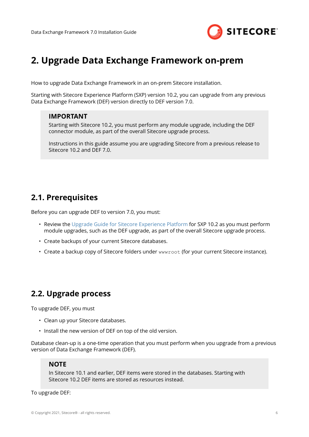

# <span id="page-5-0"></span>**2. Upgrade Data Exchange Framework on-prem**

How to upgrade Data Exchange Framework in an on-prem Sitecore installation.

Starting with Sitecore Experience Platform (SXP) version 10.2, you can upgrade from any previous Data Exchange Framework (DEF) version directly to DEF version 7.0.

## **IMPORTANT**

Starting with Sitecore 10.2, you must perform any module upgrade, including the DEF connector module, as part of the overall Sitecore upgrade process.

Instructions in this guide assume you are upgrading Sitecore from a previous release to Sitecore 10.2 and DEF 7.0.

# **2.1. Prerequisites**

Before you can upgrade DEF to version 7.0, you must:

- Review the [Upgrade Guide for Sitecore Experience Platform](https://dev.sitecore.net/Downloads/Sitecore_Experience_Platform.aspx) for SXP 10.2 as you must perform module upgrades, such as the DEF upgrade, as part of the overall Sitecore upgrade process.
- Create backups of your current Sitecore databases.
- Create a backup copy of Sitecore folders under wwwroot (for your current Sitecore instance).

# **2.2. Upgrade process**

To upgrade DEF, you must

- Clean up your Sitecore databases.
- Install the new version of DEF on top of the old version.

Database clean-up is a one-time operation that you must perform when you upgrade from a previous version of Data Exchange Framework (DEF).

#### **NOTE**

In Sitecore 10.1 and earlier, DEF items were stored in the databases. Starting with Sitecore 10.2 DEF items are stored as resources instead.

#### To upgrade DEF: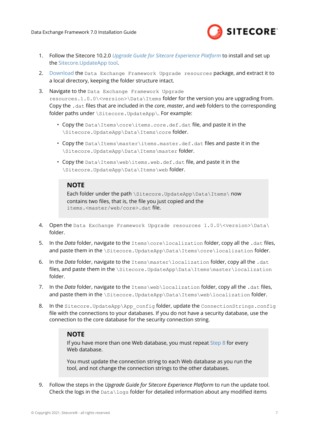

- 1. Follow the Sitecore 10.2.0 *[Upgrade Guide for Sitecore Experience Platform](https://dev.sitecore.net/Downloads/Sitecore_Experience_Platform.aspx)* to install and set up the [Sitecore.UpdateApp tool.](https://dev.sitecore.net/Downloads/Sitecore_UpdateApp_Tool)
- 2. [Download](https://dev.sitecore.net/Downloads/Resource files for Modules/) the Data Exchange Framework Upgrade resources package, and extract it to a local directory, keeping the folder structure intact.
- 3. Navigate to the Data Exchange Framework Upgrade resources.1.0.0\<version>\Data\Items folder for the version you are upgrading from. Copy the .dat files that are included in the *core*, *master*, and *web* folders to the corresponding folder paths under \Sitecore.UpdateApp\. For example:
	- Copy the Data\Items\core\items.core.def.dat file, and paste it in the \Sitecore.UpdateApp\Data\Items\core folder.
	- Copy the Data\Items\master\items.master.def.dat files and paste it in the \Sitecore.UpdateApp\Data\Items\master folder.
	- Copy the Data\Items\web\items.web.def.dat file, and paste it in the \Sitecore.UpdateApp\Data\Items\web folder.

#### **NOTE**

Each folder under the path \Sitecore.UpdateApp\Data\Items\ now contains two files, that is, the file you just copied and the items.<master/web/core>.dat file.

- 4. Open the Data Exchange Framework Upgrade resources 1.0.0\<version>\Data\ folder.
- 5. In the *Data* folder, navigate to the Items\core\localization folder, copy all the .dat files, and paste them in the \Sitecore.UpdateApp\Data\Items\core\localization folder.
- 6. In the *Data* folder, navigate to the Items\master\localization folder, copy all the .dat files, and paste them in the \Sitecore.UpdateApp\Data\Items\master\localization folder.
- 7. In the *Data* folder, navigate to the Items\web\localization folder, copy all the .dat files, and paste them in the \Sitecore.UpdateApp\Data\Items\web\localization folder.
- 8. In the Sitecore. UpdateApp\App\_config folder, update the ConnectionStrings.config file with the connections to your databases. If you do not have a security database, use the connection to the core database for the security connection string.

## **NOTE**

If you have more than one Web database, you must repeat Step 8 for every Web database.

You must update the connection string to each Web database as you run the tool, and not change the connection strings to the other databases.

9. Follow the steps in the *Upgrade Guide for Sitecore Experience Platform* to run the update tool. Check the logs in the  $Data\log s$  folder for detailed information about any modified items